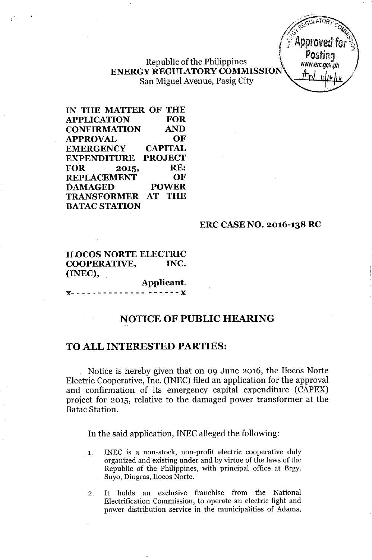Republic of the Philippines **ENERGY REGULATORYCOMMISSION** San Miguel Avenue, Pasig City



**IN THE MATTER OF THE APPLICATION FOR CONFIRMATION AND APPROVAL OF EMERGENCY CAPITAL EXPENDITURE PROJECT FOR 2015, RE: REPLACEMENT OF DAMAGED POWER TRANSFORMER AT THE BATACSTATION**

## **ERC CASE NO. 2016-138 RC**

**ILOCOS NORTE ELECTRIC COOPERATIVE, INC. (INEC),**

**Applicant.**  $- - - - -$ 

# **NOTICE OF PUBLIC HEARING**

## **TO ALL INTERESTED PARTIES:**

Notice is hereby given that on 09 June 2016, the Ilocos Norte Electric Cooperative, Inc. (INEC) filed an application for the approval and confirmation of its emergency capital expenditure (CAPEX) project for 2015, relative to the damaged power transformer at the Batac Station.

**In** the said application, INEC alleged the following:

- 1. INEC is a non-stock, non-profit electric cooperative duly organized and existing under and by virtue of the laws of the Republic of the Philippines, with principal office at Brgy. Suyo, Dingras, Ilocos Norte.
- 2. It holds an exclusive franchise from the National Electrification Commission, to operate an electric light and power distribution service in the municipalities of Adams,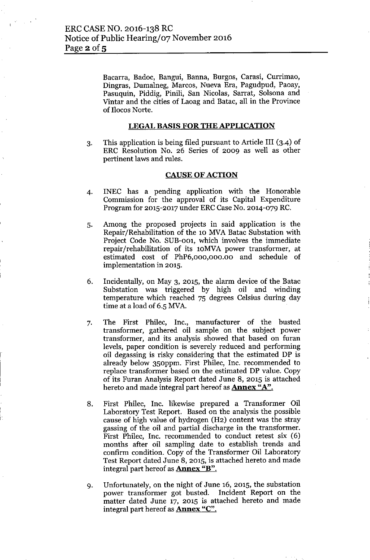Bacarra, Badoc, Bangui, Banna, Burgos, Carasi, Currimao, Dingras, Dumalneg, Marcos, Nueva Era, Pagudpud, Paoay, Pasuquin, Piddig, Pinili, San Nicolas, Sarrat, Solsona and Vintar and the cities of Laoag and Batac, all in the Province of Ilocos Norte.

## LEGAL BASIS FOR THE APPLICATION

3. This application is being filed pursuant to Article III (3-4) of ERC Resolution No. 26 Series of 2009 as well as other pertinent laws and rules.

#### CAUSE OF ACTION

- 4. INEC has a pending application with the Honorable Commission for the approval of its Capital Expenditure Program for 2015-2017 under ERC Case No. 2014-079 RC.
- 5. Among the proposed projects in said application is the Repair/Rehabilitation of the 10 MVA Batac Substation with Project Code No. SUB-001, which involves the immediate repair/rehabilitation of its lOMVA power transformer, at estimated cost of PhP6,000,000.00 and schedule of implementation in 2015.
- 6. Incidentally, on May 3, 2015, the alarm device of the Batac Substation was triggered by high oil and winding temperature which reached 75 degrees Celsius during day time at a load of 6.5 MVA.
- 7. The First Philec, Inc., manufacturer of the busted transformer, gathered oil sample on the subject power transformer, and its analysis showed that based on furan levels, paper condition is severely reduced and performing oil degassing is risky considering that the estimated DP is already below 350ppm. First Philec, Inc. recommended to replace transformer based on the estimated DP value. Copy of its Furan Analysis Report dated June 8, 2015 is attached hereto and made integral part hereof as **Annex "A"**.
- 8. First Philec, Inc. likewise prepared a Transformer Oil Laboratory Test Report. Based on the analysis the possible cause of high value of hydrogen (H2) content was the stray gassing of the oil and partial discharge in the transformer. First Philec, Inc. recommended to conduct retest six (6) months after oil sampling date to establish trends and confirm condition. Copy of the Transformer Oil Laboratory Test Report dated June 8,2015, is attached hereto and made integral part hereof as **Annex "B"**.
- 9. Unfortunately, on the night of June 16, 2015, the substation power transformer got busted. Incident Report on the matter dated June 17, 2015 is attached hereto and made integral part hereof as **Annex** "C".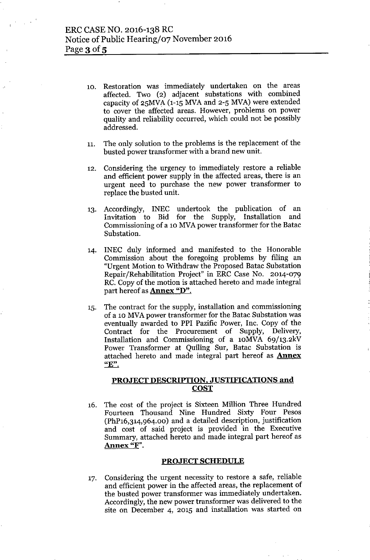- 10. Restoration was immediately undertaken on the areas affected. Two (2) adjacent substations with combined capacity of  $25MVA$  (1-15 MVA and  $2-5$  MVA) were extended to cover the affected areas. However, problems on power quality and reliability occurred, which could not be possibly addressed.
- 11. The only solution to the problems is the replacement of the busted power transformer with a brand new unit.
- 12. Considering the urgency to immediately restore a reliable and efficient power supply in the affected areas, there is an urgent need to purchase the new power transformer to replace the busted unit.
- 13. Accordingly, INEC undertook the publication of an Invitation to Bid for the Supply, Installation and Commissioning of a 10 MVA power transformer for the Batac Substation.
- 14. INEC duly informed and manifested to the Honorable Commission about the foregoing problems by filing an "Urgent Motion to Withdraw the Proposed Batac Substation Repair/Rehabilitation Project" in ERC Case No. 2014-079 RC. Copy of the motion is attached hereto and made integral part hereof as **Annex "D".**
- 15. The contract for the supply, installation and commissioning of a 10 MVA power transformer for the Batac Substation was eventually awarded to PPI Pazific Power, Inc. Copy of the Contract for the Procurement of Supply, Delivery, Installation and Commissioning of a lOMVA 69/13.2kV Power Transformer at Quiling Sur, Batac Substation is attached hereto and made integral part hereof as **Annex "E".**

## PROJECT DESCRIPTION, JUSTIFICATIONS and COST

16. The cost of the project is Sixteen Million Three Hundred Fourteen Thousand Nine Hundred Sixty Four Pesos (PhP16,314,964.00) and a detailed description, justification and cost of said project is provided in the Executive Summary, attached hereto and made integral part hereof as Annex "F".

#### PROJECT SCHEDULE

17. Considering the urgent necessity to restore a safe, reliable and efficient power in the affected areas, the replacement of the busted power transformer was immediately undertaken. Accordingly, the new power transformer was delivered to the site on December 4, 2015 and installation was started on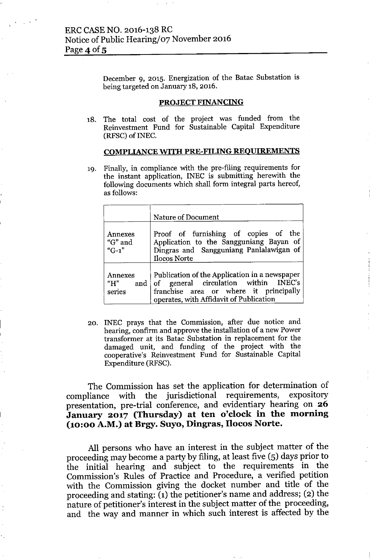December 9, 2015. Energization of the Batac Substation is being targeted on January 18,2016.

### PROJECT FINANCING

18. The total cost of the project was funded from the Reinvestment Fund for Sustainable Capital Expenditure (RFSC) of INEC.

#### COMPLIANCE WITH PRE-FILING REOUIREMENTS

19. Finally, in compliance with the pre-filing requirements for the instant application, INEC is submitting herewith the following documents which shall form integral parts hereof, as follows:

|                                 | <b>Nature of Document</b>                                                                                                                                                      |
|---------------------------------|--------------------------------------------------------------------------------------------------------------------------------------------------------------------------------|
| Annexes<br>"G" and<br>" $G-1$ " | Proof of furnishing of copies of the<br>Application to the Sangguniang Bayan of<br>Dingras and Sangguniang Panlalawigan of<br><b>Ilocos Norte</b>                              |
| Annexes<br>"H"<br>series        | Publication of the Application in a newspaper<br>and of general circulation within INEC's<br>franchise area or where it principally<br>operates, with Affidavit of Publication |

20. INEC prays that the Commission, after due notice and hearing, confirm and approve the installation of a new Power transformer at its Batac Substation in replacement for the damaged unit, and funding of the project with the cooperative's Reinvestment Fund for Sustainable Capital Expenditure (RFSC).

The Commission has set the application for determination of compliance with the jurisdictional requirements, expository presentation, pre-trial conference, and evidentiary hearing on 26 January 2017 (Thursday) at ten o'clock in the morning (10:00 A.M.) at Brgy. Suyo, Dingras, IIocos Norte.

All persons who have an interest in the subject matter of the proceeding may become a party by filing, at least five (5) days prior to the initial hearing and subject to the requirements in the Commission's Rules of Practice and Procedure, a verified petition with the Commission giving the docket number and title of the proceeding and stating:  $(i)$  the petitioner's name and address; (2) the nature of petitioner's interest in the subject matter of the proceeding, and the way and manner in which such interest is affected by the